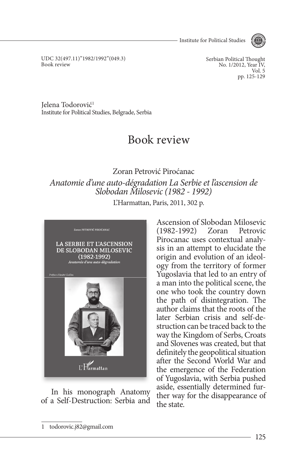- Institute for Political Studies



UDC 32(497.11)"1982/1992"(049.3) Book review

Serbian Political Thought No. 1/2012, Year IV, Vol. 5 pp. 125-129

Jelena Todorović1 Institute for Political Studies, Belgrade, Serbia

## Book review

## Zoran Petrović Piroćanac *Anatomie d'une auto-dégradation La Serbie et l'ascension de Slobodan Milosevic (1982 - 1992)*

L'Harmattan, Paris, 2011, 302 p.



In his monograph Anatomy of a Self-Destruction: Serbia and Ascension of Slobodan Milosevic (1982-1992) Zoran Petrovic Pirocanac uses contextual analysis in an attempt to elucidate the origin and evolution of an ideology from the territory of former Yugoslavia that led to an entry of a man into the political scene, the one who took the country down the path of disintegration. The author claims that the roots of the later Serbian crisis and self-destruction can be traced back to the way the Kingdom of Serbs, Croats and Slovenes was created, but that definitely the geopolitical situation after the Second World War and the emergence of the Federation of Yugoslavia, with Serbia pushed aside, essentially determined further way for the disappearance of the state.

<sup>1</sup> todorovic.j82@gmail.com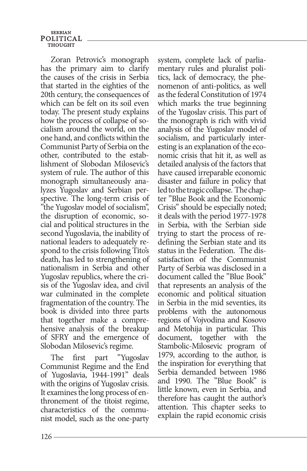**SERBIAN** POLITICAL THOUGHT

Zoran Petrovic's monograph has the primary aim to clarify the causes of the crisis in Serbia that started in the eighties of the 20th century, the consequences of which can be felt on its soil even today. The present study explains how the process of collapse of socialism around the world, on the one hand, and conflicts within the Communist Party of Serbia on the other, contributed to the establishment of Slobodan Milosevic's system of rule. The author of this monograph simultaneously analyzes Yugoslav and Serbian perspective. The long-term crisis of "the Yugoslav model of socialism", the disruption of economic, social and political structures in the second Yugoslavia, the inability of national leaders to adequately respond to the crisis following Tito's death, has led to strengthening of nationalism in Serbia and other Yugoslav republics, where the crisis of the Yugoslav idea, and civil war culminated in the complete fragmentation of the country. The book is divided into three parts that together make a comprehensive analysis of the breakup of SFRY and the emergence of Slobodan Milosevic's regime.

The first part "Yugoslav Communist Regime and the End of Yugoslavia, 1944-1991" deals with the origins of Yugoslav crisis. It examines the long process of enthronement of the titoist regime, characteristics of the communist model, such as the one-party system, complete lack of parliamentary rules and pluralist politics, lack of democracy, the phenomenon of anti-politics, as well as the federal Constitution of 1974 which marks the true beginning of the Yugoslav crisis. This part of the monograph is rich with vivid analysis of the Yugoslav model of socialism, and particularly interesting is an explanation of the economic crisis that hit it, as well as detailed analysis of the factors that have caused irreparable economic disaster and failure in policy that led to the tragic collapse. The chapter "Blue Book and the Economic Crisis" should be especially noted; it deals with the period 1977-1978 in Serbia, with the Serbian side trying to start the process of redefining the Serbian state and its status in the Federation. The dissatisfaction of the Communist Party of Serbia was disclosed in a document called the "Blue Book" that represents an analysis of the economic and political situation in Serbia in the mid seventies, its problems with the autonomous regions of Vojvodina and Kosovo and Metohija in particular. This document, together with the Stambolic-Milosevic program of 1979, according to the author, is the inspiration for everything that Serbia demanded between 1986 and 1990. The "Blue Book" is little known, even in Serbia, and therefore has caught the author's attention. This chapter seeks to explain the rapid economic crisis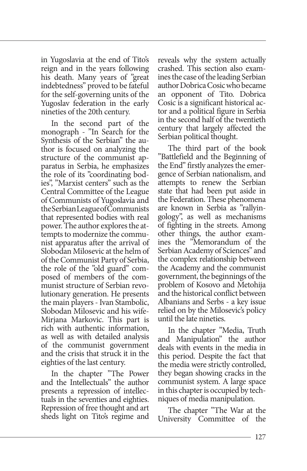in Yugoslavia at the end of Tito's reign and in the years following his death. Many years of "great indebtedness" proved to be fateful for the self-governing units of the Yugoslav federation in the early nineties of the 20th century.

In the second part of the monograph - "In Search for the Synthesis of the Serbian" the author is focused on analyzing the structure of the communist apparatus in Serbia, he emphasizes the role of its "coordinating bodies", "Marxist centers" such as the Central Committee of the League of Communists of Yugoslavia and the Serbian League of Communists that represented bodies with real power. The author explores the attempts to modernize the communist apparatus after the arrival of Slobodan Milosevic at the helm of of the Communist Party of Serbia, the role of the "old guard" composed of members of the communist structure of Serbian revolutionary generation. He presents the main players - Ivan Stambolic, Slobodan Milosevic and his wife-Mirjana Markovic. This part is rich with authentic information, as well as with detailed analysis of the communist government and the crisis that struck it in the eighties of the last century.

In the chapter "The Power and the Intellectuals" the author presents a repression of intellectuals in the seventies and eighties. Repression of free thought and art sheds light on Tito's regime and reveals why the system actually crashed. This section also examines the case of the leading Serbian author Dobrica Cosic who became an opponent of Tito. Dobrica Cosic is a significant historical actor and a political figure in Serbia in the second half of the twentieth century that largely affected the Serbian political thought.

The third part of the book "Battlefield and the Beginning of the End" firstly analyzes the emergence of Serbian nationalism, and attempts to renew the Serbian state that had been put aside in the Federation. These phenomena are known in Serbia as "rallyingology", as well as mechanisms of fighting in the streets. Among other things, the author examines the "Memorandum of the Serbian Academy of Sciences" and the complex relationship between the Academy and the communist government, the beginnings of the problem of Kosovo and Metohija and the historical conflict between Albanians and Serbs - a key issue relied on by the Milosevic's policy until the late nineties.

In the chapter "Media, Truth and Manipulation" the author deals with events in the media in this period. Despite the fact that the media were strictly controlled, they began showing cracks in the communist system. A large space in this chapter is occupied by techniques of media manipulation.

The chapter "The War at the University Committee of the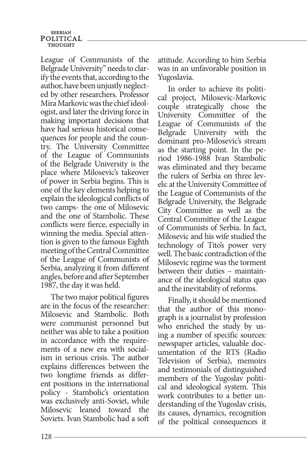## **SERBIAN** POLITICAL **THOUGHT**

League of Communists of the Belgrade University" needs to clarify the events that, according to the author, have been unjustly neglected by other researchers. Professor Mira Markovic was the chief ideologist, and later the driving force in making important decisions that have had serious historical consequences for people and the country. The University Committee of the League of Communists of the Belgrade University is the place where Milosevic's takeover of power in Serbia begins. This is one of the key elements helping to explain the ideological conflicts of two camps- the one of Milosevic and the one of Stambolic. These conflicts were fierce, especially in winning the media. Special attention is given to the famous Eighth meeting of the Central Committee of the League of Communists of Serbia, analyzing it from different angles, before and after September 1987, the day it was held.

The two major political figures are in the focus of the researcher: Milosevic and Stambolic. Both were communist personnel but neither was able to take a position in accordance with the requirements of a new era with socialism in serious crisis. The author explains differences between the two longtime friends as different positions in the international policy - Stambolic's orientation was exclusively anti-Soviet, while Milosevic leaned toward the Soviets. Ivan Stambolic had a soft

attitude. According to him Serbia was in an unfavorable position in Yugoslavia.

In order to achieve its political project, Milosevic-Markovic couple strategically chose the University Committee of the League of Communists of the Belgrade University with the dominant pro-Milosevic's stream as the starting point. In the period 1986-1988 Ivan Stambolic was eliminated and they became the rulers of Serbia on three levels: at the University Committee of the League of Communists of the Belgrade University, the Belgrade City Committee as well as the Central Committee of the League of Communists of Serbia. In fact, Milosevic and his wife studied the technology of Tito's power very well. The basic contradiction of the Milosevic regime was the torment between their duties – maintainance of the ideological status quo and the inevitability of reforms.

Finally, it should be mentioned that the author of this monograph is a journalist by profession who enriched the study by using a number of specific sources: newspaper articles, valuable documentation of the RTS (Radio Television of Serbia), memoirs and testimonials of distinguished members of the Yugoslav political and ideological system. This work contributes to a better understanding of the Yugoslav crisis, its causes, dynamics, recognition of the political consequences it